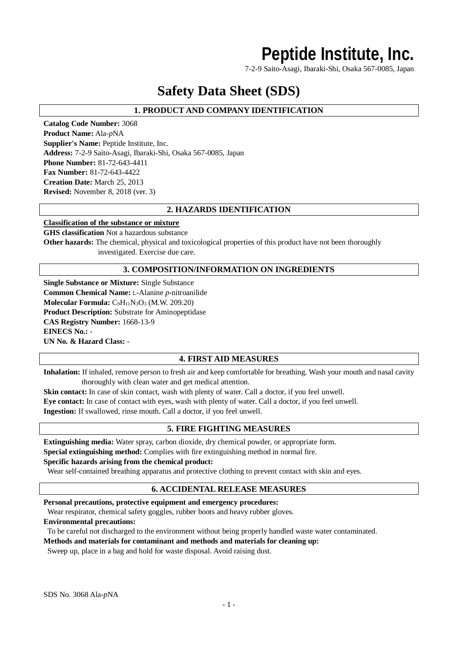## **Peptide Institute, Inc.**

7-2-9 Saito-Asagi, Ibaraki-Shi, Osaka 567-0085, Japan

## **Safety Data Sheet (SDS)**

## **1. PRODUCT AND COMPANY IDENTIFICATION**

**Catalog Code Number:** 3068 **Product Name:** Ala-*p*NA **Supplier's Name:** Peptide Institute, Inc. **Address:** 7-2-9 Saito-Asagi, Ibaraki-Shi, Osaka 567-0085, Japan **Phone Number:** 81-72-643-4411 **Fax Number:** 81-72-643-4422 **Creation Date:** March 25, 2013 **Revised:** November 8, 2018 (ver. 3)

## **2. HAZARDS IDENTIFICATION**

#### **Classification of the substance or mixture**

**GHS classification** Not a hazardous substance **Other hazards:** The chemical, physical and toxicological properties of this product have not been thoroughly investigated. Exercise due care.

## **3. COMPOSITION/INFORMATION ON INGREDIENTS**

**Single Substance or Mixture:** Single Substance **Common Chemical Name:** L-Alanine *p*-nitroanilide **Molecular Formula:** C<sub>9</sub>H<sub>11</sub>N<sub>3</sub>O<sub>3</sub> (M.W. 209.20) **Product Description:** Substrate for Aminopeptidase **CAS Registry Number:** 1668-13-9 **EINECS No.:** - **UN No. & Hazard Class:** -

### **4. FIRST AID MEASURES**

**Inhalation:** If inhaled, remove person to fresh air and keep comfortable for breathing. Wash your mouth and nasal cavity thoroughly with clean water and get medical attention.

**Skin contact:** In case of skin contact, wash with plenty of water. Call a doctor, if you feel unwell. **Eye contact:** In case of contact with eyes, wash with plenty of water. Call a doctor, if you feel unwell. **Ingestion:** If swallowed, rinse mouth. Call a doctor, if you feel unwell.

## **5. FIRE FIGHTING MEASURES**

**Extinguishing media:** Water spray, carbon dioxide, dry chemical powder, or appropriate form. **Special extinguishing method:** Complies with fire extinguishing method in normal fire.

#### **Specific hazards arising from the chemical product:**

Wear self-contained breathing apparatus and protective clothing to prevent contact with skin and eyes.

### **6. ACCIDENTAL RELEASE MEASURES**

**Personal precautions, protective equipment and emergency procedures:**

Wear respirator, chemical safety goggles, rubber boots and heavy rubber gloves.

#### **Environmental precautions:**

To be careful not discharged to the environment without being properly handled waste water contaminated.

#### **Methods and materials for contaminant and methods and materials for cleaning up:**

Sweep up, place in a bag and hold for waste disposal. Avoid raising dust.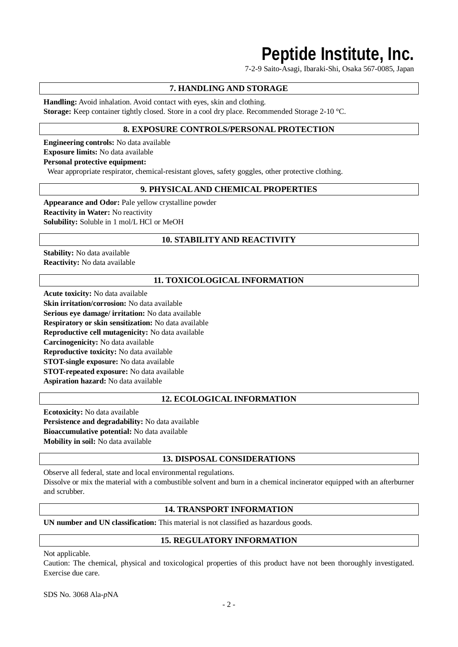# **Peptide Institute, Inc.**

7-2-9 Saito-Asagi, Ibaraki-Shi, Osaka 567-0085, Japan

## **7. HANDLING AND STORAGE**

**Handling:** Avoid inhalation. Avoid contact with eyes, skin and clothing. **Storage:** Keep container tightly closed. Store in a cool dry place. Recommended Storage 2-10 °C.

## **8. EXPOSURE CONTROLS/PERSONAL PROTECTION**

**Engineering controls:** No data available **Exposure limits:** No data available **Personal protective equipment:**

Wear appropriate respirator, chemical-resistant gloves, safety goggles, other protective clothing.

## **9. PHYSICAL AND CHEMICAL PROPERTIES**

**Appearance and Odor:** Pale yellow crystalline powder **Reactivity in Water:** No reactivity **Solubility:** Soluble in 1 mol/L HCl or MeOH

## **10. STABILITY AND REACTIVITY**

**Stability:** No data available **Reactivity:** No data available

## **11. TOXICOLOGICAL INFORMATION**

**Acute toxicity:** No data available **Skin irritation/corrosion:** No data available **Serious eye damage/ irritation:** No data available **Respiratory or skin sensitization:** No data available **Reproductive cell mutagenicity:** No data available **Carcinogenicity:** No data available **Reproductive toxicity:** No data available **STOT-single exposure:** No data available **STOT-repeated exposure:** No data available **Aspiration hazard:** No data available

### **12. ECOLOGICAL INFORMATION**

**Ecotoxicity:** No data available **Persistence and degradability:** No data available **Bioaccumulative potential:** No data available **Mobility in soil:** No data available

### **13. DISPOSAL CONSIDERATIONS**

Observe all federal, state and local environmental regulations. Dissolve or mix the material with a combustible solvent and burn in a chemical incinerator equipped with an afterburner and scrubber.

### **14. TRANSPORT INFORMATION**

**UN number and UN classification:** This material is not classified as hazardous goods.

### **15. REGULATORY INFORMATION**

Not applicable.

Caution: The chemical, physical and toxicological properties of this product have not been thoroughly investigated. Exercise due care.

SDS No. 3068 Ala-*p*NA